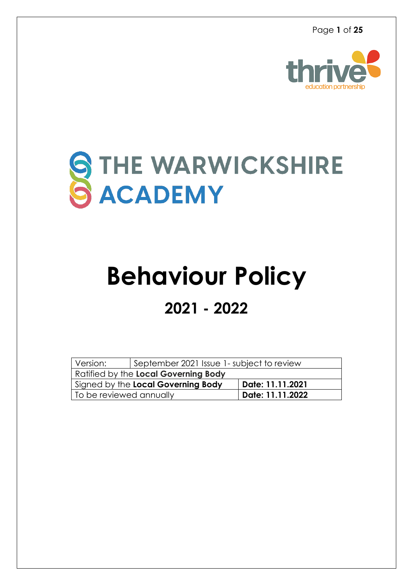Page **1** of **25**



# STHE WARWICKSHIRE

## **Behaviour Policy 2021 - 2022**

| Version:                                               | September 2021 Issue 1- subject to review |                  |  |  |
|--------------------------------------------------------|-------------------------------------------|------------------|--|--|
| Ratified by the Local Governing Body                   |                                           |                  |  |  |
| Signed by the Local Governing Body<br>Date: 11.11.2021 |                                           |                  |  |  |
| To be reviewed annually                                |                                           | Date: 11.11.2022 |  |  |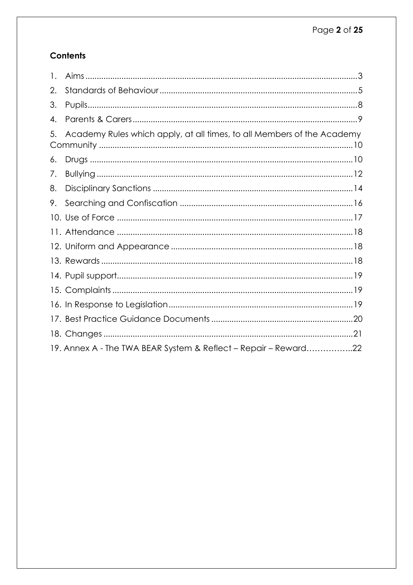#### **Contents**

| $\mathbf{1}$ . |                                                                        |  |
|----------------|------------------------------------------------------------------------|--|
| 2.             |                                                                        |  |
| 3.             |                                                                        |  |
| 4.             |                                                                        |  |
| 5.             | Academy Rules which apply, at all times, to all Members of the Academy |  |
| 6.             |                                                                        |  |
| $\sqrt{ }$ .   |                                                                        |  |
| 8.             |                                                                        |  |
| 9.             |                                                                        |  |
|                |                                                                        |  |
|                |                                                                        |  |
|                |                                                                        |  |
|                |                                                                        |  |
|                |                                                                        |  |
|                |                                                                        |  |
|                |                                                                        |  |
|                |                                                                        |  |
|                |                                                                        |  |
|                | 19. Annex A - The TWA BEAR System & Reflect – Repair – Reward22        |  |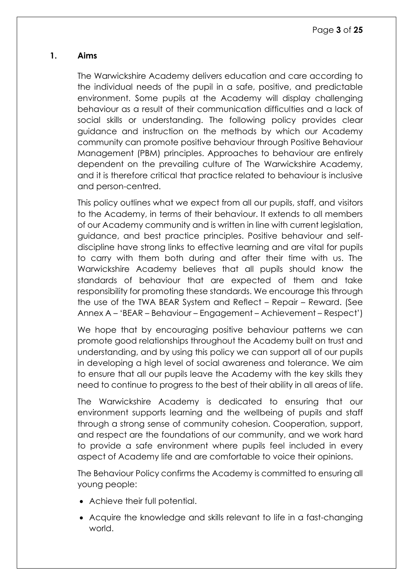#### <span id="page-2-0"></span>**1. Aims**

The Warwickshire Academy delivers education and care according to the individual needs of the pupil in a safe, positive, and predictable environment. Some pupils at the Academy will display challenging behaviour as a result of their communication difficulties and a lack of social skills or understanding. The following policy provides clear guidance and instruction on the methods by which our Academy community can promote positive behaviour through Positive Behaviour Management (PBM) principles. Approaches to behaviour are entirely dependent on the prevailing culture of The Warwickshire Academy, and it is therefore critical that practice related to behaviour is inclusive and person-centred.

This policy outlines what we expect from all our pupils, staff, and visitors to the Academy, in terms of their behaviour. It extends to all members of our Academy community and is written in line with current legislation, guidance, and best practice principles. Positive behaviour and selfdiscipline have strong links to effective learning and are vital for pupils to carry with them both during and after their time with us. The Warwickshire Academy believes that all pupils should know the standards of behaviour that are expected of them and take responsibility for promoting these standards. We encourage this through the use of the TWA BEAR System and Reflect – Repair – Reward. (See Annex A – 'BEAR – Behaviour – Engagement – Achievement – Respect')

We hope that by encouraging positive behaviour patterns we can promote good relationships throughout the Academy built on trust and understanding, and by using this policy we can support all of our pupils in developing a high level of social awareness and tolerance. We aim to ensure that all our pupils leave the Academy with the key skills they need to continue to progress to the best of their ability in all areas of life.

The Warwickshire Academy is dedicated to ensuring that our environment supports learning and the wellbeing of pupils and staff through a strong sense of community cohesion. Cooperation, support, and respect are the foundations of our community, and we work hard to provide a safe environment where pupils feel included in every aspect of Academy life and are comfortable to voice their opinions.

The Behaviour Policy confirms the Academy is committed to ensuring all young people:

- Achieve their full potential.
- Acquire the knowledge and skills relevant to life in a fast-changing world.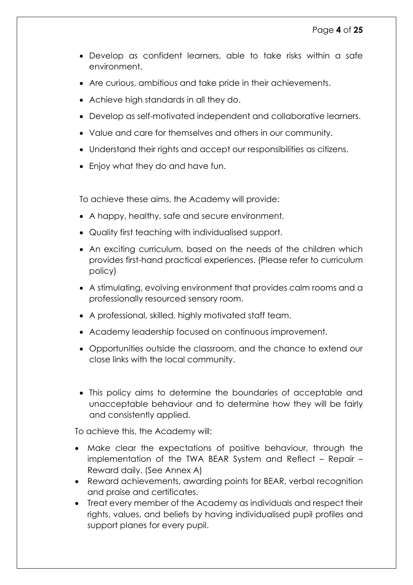- Develop as confident learners, able to take risks within a safe environment.
- Are curious, ambitious and take pride in their achievements.
- Achieve high standards in all they do.
- Develop as self-motivated independent and collaborative learners.
- Value and care for themselves and others in our community.
- Understand their rights and accept our responsibilities as citizens.
- Enjoy what they do and have fun.

To achieve these aims, the Academy will provide:

- A happy, healthy, safe and secure environment.
- Quality first teaching with individualised support.
- An exciting curriculum, based on the needs of the children which provides first-hand practical experiences. (Please refer to curriculum policy)
- A stimulating, evolving environment that provides calm rooms and a professionally resourced sensory room.
- A professional, skilled, highly motivated staff team.
- Academy leadership focused on continuous improvement.
- Opportunities outside the classroom, and the chance to extend our close links with the local community.
- This policy aims to determine the boundaries of acceptable and unacceptable behaviour and to determine how they will be fairly and consistently applied.

To achieve this, the Academy will:

- Make clear the expectations of positive behaviour, through the implementation of the TWA BEAR System and Reflect – Repair – Reward daily. (See Annex A)
- Reward achievements, awarding points for BEAR, verbal recognition and praise and certificates.
- Treat every member of the Academy as individuals and respect their rights, values, and beliefs by having individualised pupil profiles and support planes for every pupil.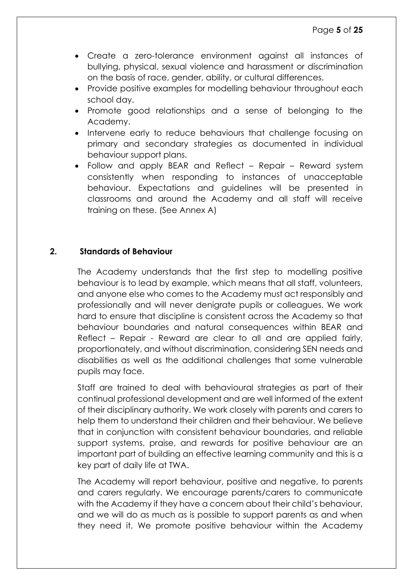- Create a zero-tolerance environment against all instances of bullying, physical, sexual violence and harassment or discrimination on the basis of race, gender, ability, or cultural differences.
- Provide positive examples for modelling behaviour throughout each school day.
- Promote good relationships and a sense of belonging to the Academy.
- Intervene early to reduce behaviours that challenge focusing on primary and secondary strategies as documented in individual behaviour support plans.
- Follow and apply BEAR and Reflect Repair Reward system consistently when responding to instances of unacceptable behaviour. Expectations and guidelines will be presented in classrooms and around the Academy and all staff will receive training on these. (See Annex A)

#### **2. Standards of Behaviour**

<span id="page-4-0"></span>The Academy understands that the first step to modelling positive behaviour is to lead by example, which means that all staff, volunteers, and anyone else who comes to the Academy must act responsibly and professionally and will never denigrate pupils or colleagues. We work hard to ensure that discipline is consistent across the Academy so that behaviour boundaries and natural consequences within BEAR and Reflect – Repair - Reward are clear to all and are applied fairly, proportionately, and without discrimination, considering SEN needs and disabilities as well as the additional challenges that some vulnerable pupils may face.

Staff are trained to deal with behavioural strategies as part of their continual professional development and are well informed of the extent of their disciplinary authority. We work closely with parents and carers to help them to understand their children and their behaviour. We believe that in conjunction with consistent behaviour boundaries, and reliable support systems, praise, and rewards for positive behaviour are an important part of building an effective learning community and this is a key part of daily life at TWA.

The Academy will report behaviour, positive and negative, to parents and carers regularly. We encourage parents/carers to communicate with the Academy if they have a concern about their child's behaviour, and we will do as much as is possible to support parents as and when they need it. We promote positive behaviour within the Academy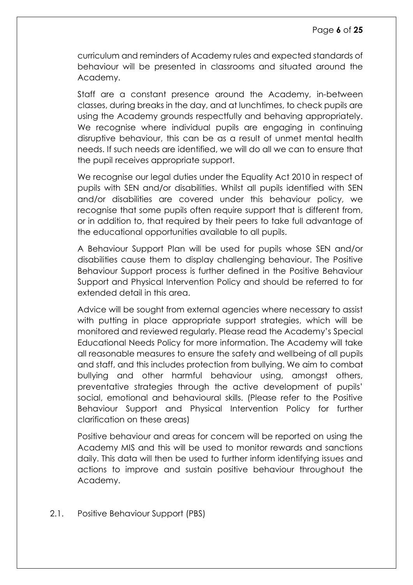curriculum and reminders of Academy rules and expected standards of behaviour will be presented in classrooms and situated around the Academy.

Staff are a constant presence around the Academy, in-between classes, during breaks in the day, and at lunchtimes, to check pupils are using the Academy grounds respectfully and behaving appropriately. We recognise where individual pupils are engaging in continuing disruptive behaviour, this can be as a result of unmet mental health needs. If such needs are identified, we will do all we can to ensure that the pupil receives appropriate support.

We recognise our legal duties under the Equality Act 2010 in respect of pupils with SEN and/or disabilities. Whilst all pupils identified with SEN and/or disabilities are covered under this behaviour policy, we recoanise that some pupils often require support that is different from, or in addition to, that required by their peers to take full advantage of the educational opportunities available to all pupils.

A Behaviour Support Plan will be used for pupils whose SEN and/or disabilities cause them to display challenging behaviour. The Positive Behaviour Support process is further defined in the Positive Behaviour Support and Physical Intervention Policy and should be referred to for extended detail in this area.

Advice will be sought from external agencies where necessary to assist with putting in place appropriate support strategies, which will be monitored and reviewed regularly. Please read the Academy's Special Educational Needs Policy for more information. The Academy will take all reasonable measures to ensure the safety and wellbeing of all pupils and staff, and this includes protection from bullying. We aim to combat bullying and other harmful behaviour using, amongst others, preventative strategies through the active development of pupils' social, emotional and behavioural skills. (Please refer to the Positive Behaviour Support and Physical Intervention Policy for further clarification on these areas)

Positive behaviour and areas for concern will be reported on using the Academy MIS and this will be used to monitor rewards and sanctions daily. This data will then be used to further inform identifying issues and actions to improve and sustain positive behaviour throughout the Academy.

2.1. Positive Behaviour Support (PBS)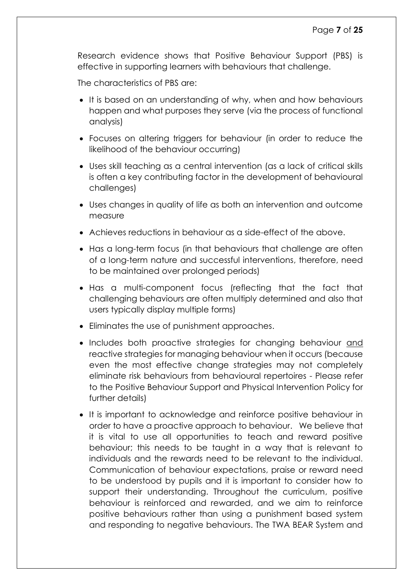Research evidence shows that Positive Behaviour Support (PBS) is effective in supporting learners with behaviours that challenge.

The characteristics of PBS are:

- It is based on an understanding of why, when and how behaviours happen and what purposes they serve (via the process of functional analysis)
- Focuses on altering triggers for behaviour (in order to reduce the likelihood of the behaviour occurring)
- Uses skill teaching as a central intervention (as a lack of critical skills is often a key contributing factor in the development of behavioural challenges)
- Uses changes in quality of life as both an intervention and outcome measure
- Achieves reductions in behaviour as a side-effect of the above.
- Has a long-term focus (in that behaviours that challenge are often of a long-term nature and successful interventions, therefore, need to be maintained over prolonged periods)
- Has a multi-component focus (reflecting that the fact that challenging behaviours are often multiply determined and also that users typically display multiple forms)
- Eliminates the use of punishment approaches.
- Includes both proactive strategies for changing behaviour and reactive strategies for managing behaviour when it occurs (because even the most effective change strategies may not completely eliminate risk behaviours from behavioural repertoires - Please refer to the Positive Behaviour Support and Physical Intervention Policy for further details)
- It is important to acknowledge and reinforce positive behaviour in order to have a proactive approach to behaviour. We believe that it is vital to use all opportunities to teach and reward positive behaviour; this needs to be taught in a way that is relevant to individuals and the rewards need to be relevant to the individual. Communication of behaviour expectations, praise or reward need to be understood by pupils and it is important to consider how to support their understanding. Throughout the curriculum, positive behaviour is reinforced and rewarded, and we aim to reinforce positive behaviours rather than using a punishment based system and responding to negative behaviours. The TWA BEAR System and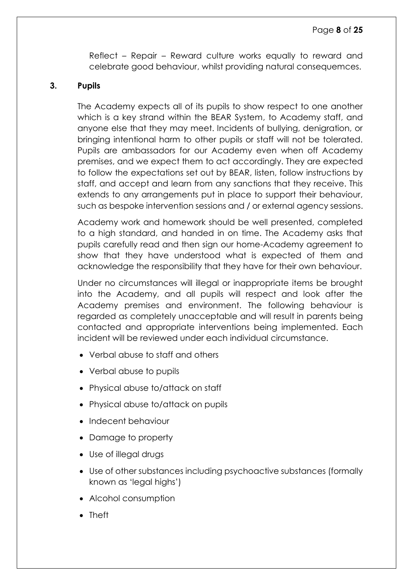Reflect – Repair – Reward culture works equally to reward and celebrate good behaviour, whilst providing natural consequemces.

#### <span id="page-7-0"></span>**3. Pupils**

The Academy expects all of its pupils to show respect to one another which is a key strand within the BEAR System, to Academy staff, and anyone else that they may meet. Incidents of bullying, denigration, or bringing intentional harm to other pupils or staff will not be tolerated. Pupils are ambassadors for our Academy even when off Academy premises, and we expect them to act accordingly. They are expected to follow the expectations set out by BEAR, listen, follow instructions by staff, and accept and learn from any sanctions that they receive. This extends to any arrangements put in place to support their behaviour, such as bespoke intervention sessions and / or external agency sessions.

Academy work and homework should be well presented, completed to a high standard, and handed in on time. The Academy asks that pupils carefully read and then sign our home-Academy agreement to show that they have understood what is expected of them and acknowledge the responsibility that they have for their own behaviour.

Under no circumstances will illegal or inappropriate items be brought into the Academy, and all pupils will respect and look after the Academy premises and environment. The following behaviour is regarded as completely unacceptable and will result in parents being contacted and appropriate interventions being implemented. Each incident will be reviewed under each individual circumstance.

- Verbal abuse to staff and others
- Verbal abuse to pupils
- Physical abuse to/attack on staff
- Physical abuse to/attack on pupils
- Indecent behaviour
- Damage to property
- Use of illegal drugs
- Use of other substances including psychoactive substances (formally known as 'legal highs')
- Alcohol consumption
- Theft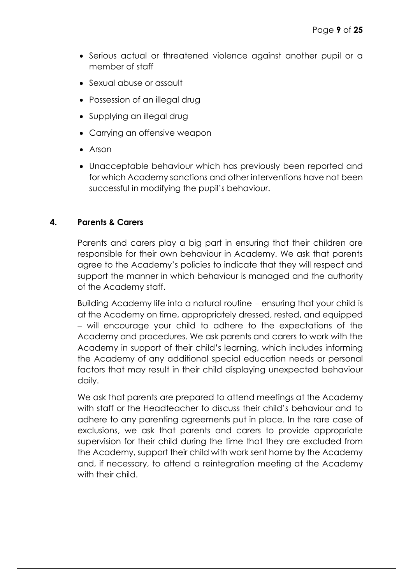- Serious actual or threatened violence against another pupil or a member of staff
- Sexual abuse or assault
- Possession of an illegal drug
- Supplying an illegal drug
- Carrying an offensive weapon
- Arson
- Unacceptable behaviour which has previously been reported and for which Academy sanctions and other interventions have not been successful in modifying the pupil's behaviour.

#### <span id="page-8-0"></span>**4. Parents & Carers**

Parents and carers play a big part in ensuring that their children are responsible for their own behaviour in Academy. We ask that parents agree to the Academy's policies to indicate that they will respect and support the manner in which behaviour is managed and the authority of the Academy staff.

Building Academy life into a natural routine ensuring that your child is at the Academy on time, appropriately dressed, rested, and equipped will encourage your child to adhere to the expectations of the Academy and procedures. We ask parents and carers to work with the Academy in support of their child's learning, which includes informing the Academy of any additional special education needs or personal factors that may result in their child displaying unexpected behaviour daily.

We ask that parents are prepared to attend meetings at the Academy with staff or the Headteacher to discuss their child's behaviour and to adhere to any parenting agreements put in place. In the rare case of exclusions, we ask that parents and carers to provide appropriate supervision for their child during the time that they are excluded from the Academy, support their child with work sent home by the Academy and, if necessary, to attend a reintegration meeting at the Academy with their child.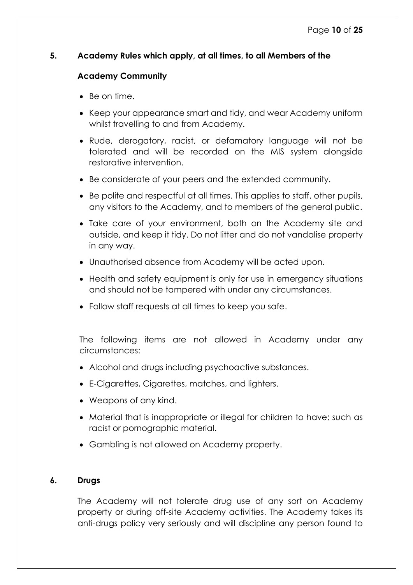#### <span id="page-9-0"></span>**5. Academy Rules which apply, at all times, to all Members of the**

#### **Academy Community**

- Be on time.
- Keep your appearance smart and tidy, and wear Academy uniform whilst travelling to and from Academy.
- Rude, derogatory, racist, or defamatory language will not be tolerated and will be recorded on the MIS system alongside restorative intervention.
- Be considerate of your peers and the extended community.
- Be polite and respectful at all times. This applies to staff, other pupils, any visitors to the Academy, and to members of the general public.
- Take care of your environment, both on the Academy site and outside, and keep it tidy. Do not litter and do not vandalise property in any way.
- Unauthorised absence from Academy will be acted upon.
- Health and safety equipment is only for use in emergency situations and should not be tampered with under any circumstances.
- Follow staff requests at all times to keep you safe.

The following items are not allowed in Academy under any circumstances:

- Alcohol and drugs including psychoactive substances.
- E-Cigarettes, Cigarettes, matches, and lighters.
- Weapons of any kind.
- Material that is inappropriate or illegal for children to have; such as racist or pornographic material.
- Gambling is not allowed on Academy property.

#### <span id="page-9-1"></span>**6. Drugs**

The Academy will not tolerate drug use of any sort on Academy property or during off-site Academy activities. The Academy takes its anti-drugs policy very seriously and will discipline any person found to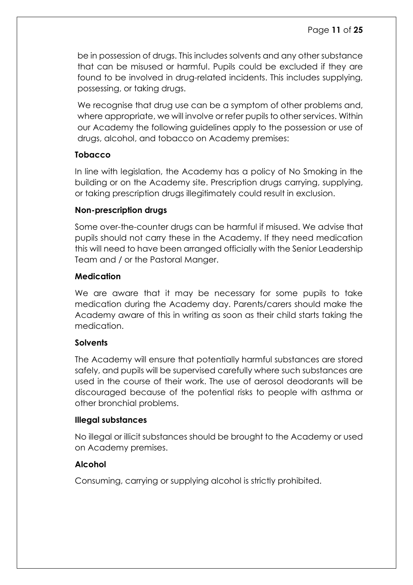be in possession of drugs. This includes solvents and any other substance that can be misused or harmful. Pupils could be excluded if they are found to be involved in drug-related incidents. This includes supplying, possessing, or taking drugs.

We recognise that drug use can be a symptom of other problems and, where appropriate, we will involve or refer pupils to other services. Within our Academy the following guidelines apply to the possession or use of drugs, alcohol, and tobacco on Academy premises:

#### **Tobacco**

In line with legislation, the Academy has a policy of No Smoking in the building or on the Academy site. Prescription drugs carrying, supplying, or taking prescription drugs illegitimately could result in exclusion.

#### **Non-prescription drugs**

Some over-the-counter drugs can be harmful if misused. We advise that pupils should not carry these in the Academy. If they need medication this will need to have been arranged officially with the Senior Leadership Team and / or the Pastoral Manger.

#### **Medication**

We are aware that it may be necessary for some pupils to take medication during the Academy day. Parents/carers should make the Academy aware of this in writing as soon as their child starts taking the medication.

#### **Solvents**

The Academy will ensure that potentially harmful substances are stored safely, and pupils will be supervised carefully where such substances are used in the course of their work. The use of aerosol deodorants will be discouraged because of the potential risks to people with asthma or other bronchial problems.

#### **Illegal substances**

No illegal or illicit substances should be brought to the Academy or used on Academy premises.

#### **Alcohol**

Consuming, carrying or supplying alcohol is strictly prohibited.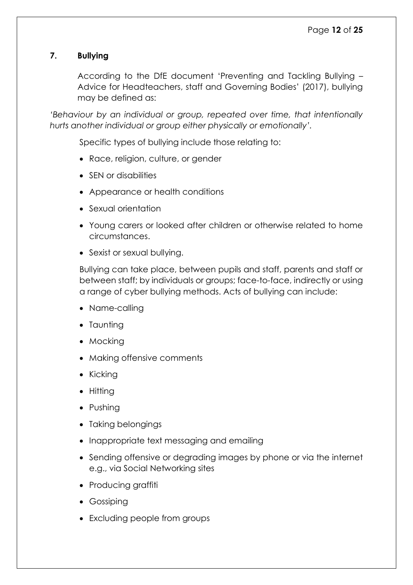#### <span id="page-11-0"></span>**7. Bullying**

According to the DfE document 'Preventing and Tackling Bullying – Advice for Headteachers, staff and Governing Bodies' (2017), bullying may be defined as:

*'Behaviour by an individual or group, repeated over time, that intentionally hurts another individual or group either physically or emotionally'.* 

Specific types of bullying include those relating to:

- Race, religion, culture, or gender
- SEN or disabilities
- Appearance or health conditions
- Sexual orientation
- Young carers or looked after children or otherwise related to home circumstances.
- Sexist or sexual bullying.

Bullying can take place, between pupils and staff, parents and staff or between staff; by individuals or groups; face-to-face, indirectly or using a range of cyber bullying methods. Acts of bullying can include:

- Name-calling
- Taunting
- Mocking
- Making offensive comments
- $\bullet$  Kicking
- Hitting
- Pushing
- Taking belongings
- Inappropriate text messaging and emailing
- Sending offensive or degrading images by phone or via the internet e.g., via Social Networking sites
- Producing graffiti
- Gossiping
- Excluding people from groups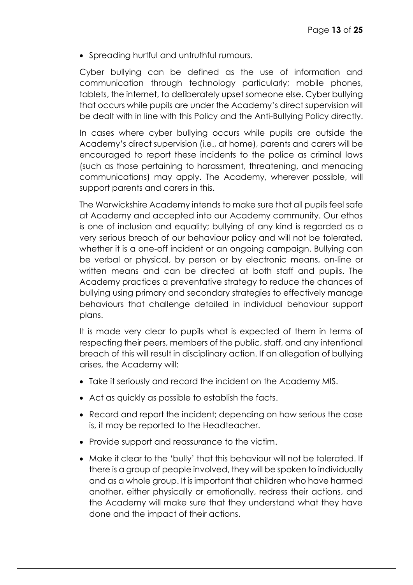• Spreading hurtful and untruthful rumours.

Cyber bullying can be defined as the use of information and communication through technology particularly; mobile phones, tablets, the internet, to deliberately upset someone else. Cyber bullying that occurs while pupils are under the Academy's direct supervision will be dealt with in line with this Policy and the Anti-Bullying Policy directly.

In cases where cyber bullying occurs while pupils are outside the Academy's direct supervision (i.e., at home), parents and carers will be encouraged to report these incidents to the police as criminal laws (such as those pertaining to harassment, threatening, and menacing communications) may apply. The Academy, wherever possible, will support parents and carers in this.

The Warwickshire Academy intends to make sure that all pupils feel safe at Academy and accepted into our Academy community. Our ethos is one of inclusion and equality; bullying of any kind is regarded as a very serious breach of our behaviour policy and will not be tolerated, whether it is a one-off incident or an ongoing campaign. Bullying can be verbal or physical, by person or by electronic means, on-line or written means and can be directed at both staff and pupils. The Academy practices a preventative strategy to reduce the chances of bullying using primary and secondary strategies to effectively manage behaviours that challenge detailed in individual behaviour support plans.

It is made very clear to pupils what is expected of them in terms of respecting their peers, members of the public, staff, and any intentional breach of this will result in disciplinary action. If an allegation of bullying arises, the Academy will:

- Take it seriously and record the incident on the Academy MIS.
- Act as quickly as possible to establish the facts.
- Record and report the incident; depending on how serious the case is, it may be reported to the Headteacher.
- Provide support and reassurance to the victim.
- Make it clear to the 'bully' that this behaviour will not be tolerated. If there is a group of people involved, they will be spoken to individually and as a whole group. It is important that children who have harmed another, either physically or emotionally, redress their actions, and the Academy will make sure that they understand what they have done and the impact of their actions.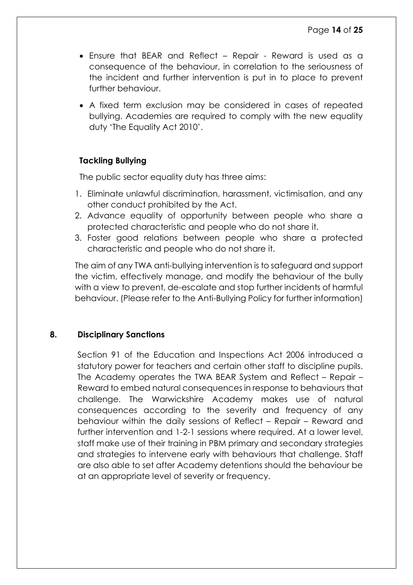- Ensure that BEAR and Reflect Repair Reward is used as a consequence of the behaviour, in correlation to the seriousness of the incident and further intervention is put in to place to prevent further behaviour.
- A fixed term exclusion may be considered in cases of repeated bullying. Academies are required to comply with the new equality duty 'The Equality Act 2010'.

#### **Tackling Bullying**

The public sector equality duty has three aims:

- 1. Eliminate unlawful discrimination, harassment, victimisation, and any other conduct prohibited by the Act.
- 2. Advance equality of opportunity between people who share a protected characteristic and people who do not share it.
- 3. Foster good relations between people who share a protected characteristic and people who do not share it.

The aim of any TWA anti-bullying intervention is to safeguard and support the victim, effectively manage, and modify the behaviour of the bully with a view to prevent, de-escalate and stop further incidents of harmful behaviour. (Please refer to the Anti-Bullying Policy for further information)

#### <span id="page-13-0"></span>**8. Disciplinary Sanctions**

Section 91 of the Education and Inspections Act 2006 introduced a statutory power for teachers and certain other staff to discipline pupils. The Academy operates the TWA BEAR System and Reflect – Repair – Reward to embed natural consequences in response to behaviours that challenge. The Warwickshire Academy makes use of natural consequences according to the severity and frequency of any behaviour within the daily sessions of Reflect – Repair – Reward and further intervention and 1-2-1 sessions where required. At a lower level, staff make use of their training in PBM primary and secondary strategies and strategies to intervene early with behaviours that challenge. Staff are also able to set after Academy detentions should the behaviour be at an appropriate level of severity or frequency.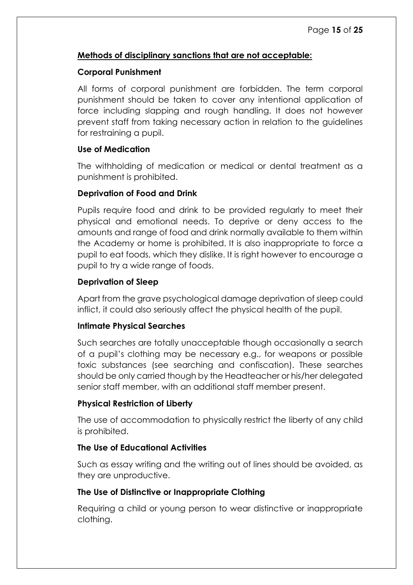#### **Methods of disciplinary sanctions that are not acceptable:**

#### **Corporal Punishment**

All forms of corporal punishment are forbidden. The term corporal punishment should be taken to cover any intentional application of force including slapping and rough handling. It does not however prevent staff from taking necessary action in relation to the guidelines for restraining a pupil.

#### **Use of Medication**

The withholding of medication or medical or dental treatment as a punishment is prohibited.

#### **Deprivation of Food and Drink**

Pupils require food and drink to be provided regularly to meet their physical and emotional needs. To deprive or deny access to the amounts and range of food and drink normally available to them within the Academy or home is prohibited. It is also inappropriate to force a pupil to eat foods, which they dislike. It is right however to encourage a pupil to try a wide range of foods.

#### **Deprivation of Sleep**

Apart from the grave psychological damage deprivation of sleep could inflict, it could also seriously affect the physical health of the pupil.

#### **Intimate Physical Searches**

Such searches are totally unacceptable though occasionally a search of a pupil's clothing may be necessary e.g., for weapons or possible toxic substances (see searching and confiscation). These searches should be only carried though by the Headteacher or his/her delegated senior staff member, with an additional staff member present.

#### **Physical Restriction of Liberty**

The use of accommodation to physically restrict the liberty of any child is prohibited.

#### **The Use of Educational Activities**

Such as essay writing and the writing out of lines should be avoided, as they are unproductive.

#### **The Use of Distinctive or Inappropriate Clothing**

Requiring a child or young person to wear distinctive or inappropriate clothing.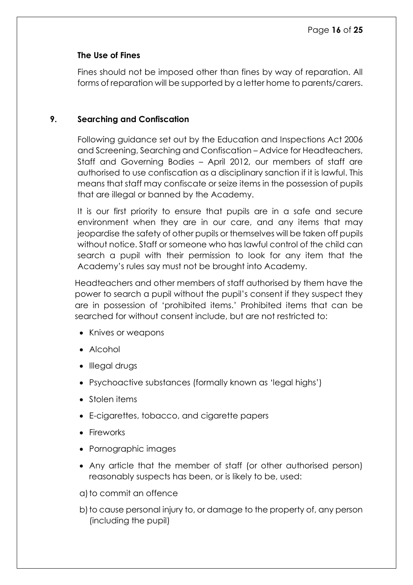#### **The Use of Fines**

Fines should not be imposed other than fines by way of reparation. All forms of reparation will be supported by a letter home to parents/carers.

#### <span id="page-15-0"></span>**9. Searching and Confiscation**

Following guidance set out by the Education and Inspections Act 2006 and Screening, Searching and Confiscation – Advice for Headteachers, Staff and Governing Bodies – April 2012, our members of staff are authorised to use confiscation as a disciplinary sanction if it is lawful. This means that staff may confiscate or seize items in the possession of pupils that are illegal or banned by the Academy.

It is our first priority to ensure that pupils are in a safe and secure environment when they are in our care, and any items that may jeopardise the safety of other pupils or themselves will be taken off pupils without notice. Staff or someone who has lawful control of the child can search a pupil with their permission to look for any item that the Academy's rules say must not be brought into Academy.

Headteachers and other members of staff authorised by them have the power to search a pupil without the pupil's consent if they suspect they are in possession of 'prohibited items.' Prohibited items that can be searched for without consent include, but are not restricted to:

- Knives or weapons
- Alcohol
- Illegal drugs
- Psychoactive substances (formally known as 'legal highs')
- Stolen items
- E-cigarettes, tobacco, and cigarette papers
- Fireworks
- Pornographic images
- Any article that the member of staff (or other authorised person) reasonably suspects has been, or is likely to be, used:
- a)to commit an offence
- b) to cause personal injury to, or damage to the property of, any person (including the pupil)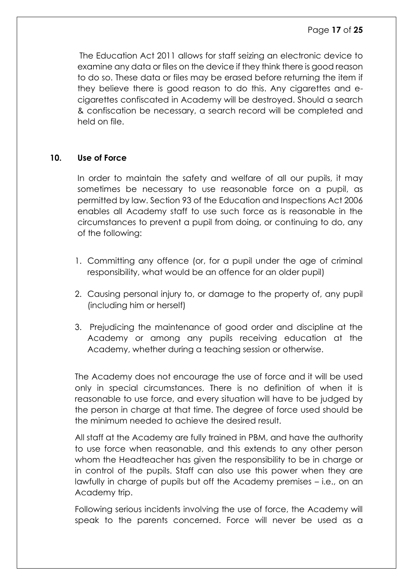The Education Act 2011 allows for staff seizing an electronic device to examine any data or files on the device if they think there is good reason to do so. These data or files may be erased before returning the item if they believe there is good reason to do this. Any cigarettes and ecigarettes confiscated in Academy will be destroyed. Should a search & confiscation be necessary, a search record will be completed and held on file.

#### <span id="page-16-0"></span>**10. Use of Force**

In order to maintain the safety and welfare of all our pupils, it may sometimes be necessary to use reasonable force on a pupil, as permitted by law. Section 93 of the Education and Inspections Act 2006 enables all Academy staff to use such force as is reasonable in the circumstances to prevent a pupil from doing, or continuing to do, any of the following:

- 1. Committing any offence (or, for a pupil under the age of criminal responsibility, what would be an offence for an older pupil)
- 2. Causing personal injury to, or damage to the property of, any pupil (including him or herself)
- 3. Prejudicing the maintenance of good order and discipline at the Academy or among any pupils receiving education at the Academy, whether during a teaching session or otherwise.

The Academy does not encourage the use of force and it will be used only in special circumstances. There is no definition of when it is reasonable to use force, and every situation will have to be judged by the person in charge at that time. The degree of force used should be the minimum needed to achieve the desired result.

All staff at the Academy are fully trained in PBM, and have the authority to use force when reasonable, and this extends to any other person whom the Headteacher has given the responsibility to be in charge or in control of the pupils. Staff can also use this power when they are lawfully in charge of pupils but off the Academy premises – i.e., on an Academy trip.

Following serious incidents involving the use of force, the Academy will speak to the parents concerned. Force will never be used as a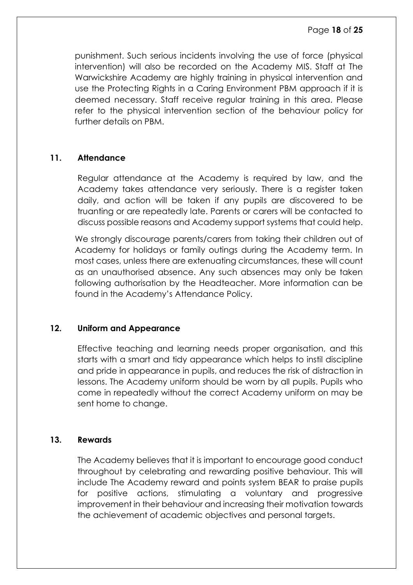punishment. Such serious incidents involving the use of force (physical intervention) will also be recorded on the Academy MIS. Staff at The Warwickshire Academy are highly training in physical intervention and use the Protecting Rights in a Caring Environment PBM approach if it is deemed necessary. Staff receive regular training in this area. Please refer to the physical intervention section of the behaviour policy for further details on PBM.

#### <span id="page-17-0"></span>**11. Attendance**

Regular attendance at the Academy is required by law, and the Academy takes attendance very seriously. There is a register taken daily, and action will be taken if any pupils are discovered to be truanting or are repeatedly late. Parents or carers will be contacted to discuss possible reasons and Academy support systems that could help.

We strongly discourage parents/carers from taking their children out of Academy for holidays or family outings during the Academy term. In most cases, unless there are extenuating circumstances, these will count as an unauthorised absence. Any such absences may only be taken following authorisation by the Headteacher. More information can be found in the Academy's Attendance Policy.

#### <span id="page-17-1"></span>**12. Uniform and Appearance**

Effective teaching and learning needs proper organisation, and this starts with a smart and tidy appearance which helps to instil discipline and pride in appearance in pupils, and reduces the risk of distraction in lessons. The Academy uniform should be worn by all pupils. Pupils who come in repeatedly without the correct Academy uniform on may be sent home to change.

#### <span id="page-17-2"></span>**13. Rewards**

The Academy believes that it is important to encourage good conduct throughout by celebrating and rewarding positive behaviour. This will include The Academy reward and points system BEAR to praise pupils for positive actions, stimulating a voluntary and progressive improvement in their behaviour and increasing their motivation towards the achievement of academic objectives and personal targets.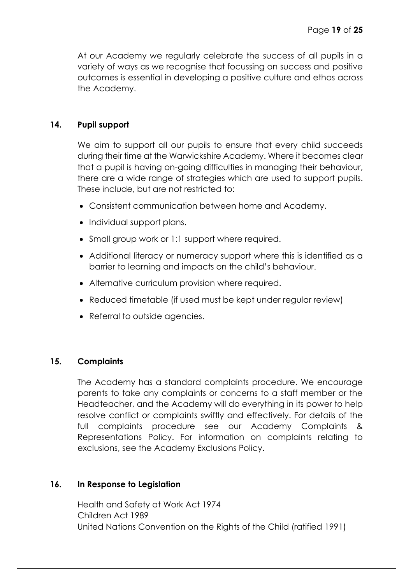At our Academy we regularly celebrate the success of all pupils in a variety of ways as we recognise that focussing on success and positive outcomes is essential in developing a positive culture and ethos across the Academy.

#### <span id="page-18-0"></span>**14. Pupil support**

We aim to support all our pupils to ensure that every child succeeds during their time at the Warwickshire Academy. Where it becomes clear that a pupil is having on-going difficulties in managing their behaviour, there are a wide range of strategies which are used to support pupils. These include, but are not restricted to:

- Consistent communication between home and Academy.
- Individual support plans.
- Small group work or 1:1 support where required.
- Additional literacy or numeracy support where this is identified as a barrier to learning and impacts on the child's behaviour.
- Alternative curriculum provision where required.
- Reduced timetable (if used must be kept under regular review)
- Referral to outside agencies.

#### <span id="page-18-1"></span>**15. Complaints**

The Academy has a standard complaints procedure. We encourage parents to take any complaints or concerns to a staff member or the Headteacher, and the Academy will do everything in its power to help resolve conflict or complaints swiftly and effectively. For details of the full complaints procedure see our Academy Complaints & Representations Policy. For information on complaints relating to exclusions, see the Academy Exclusions Policy.

#### <span id="page-18-2"></span>**16. In Response to Legislation**

Health and Safety at Work Act 1974 Children Act 1989 United Nations Convention on the Rights of the Child (ratified 1991)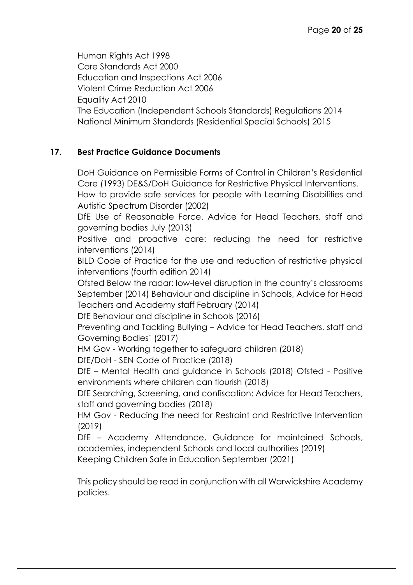Human Rights Act 1998 Care Standards Act 2000 Education and Inspections Act 2006 Violent Crime Reduction Act 2006 Equality Act 2010 The Education (Independent Schools Standards) Regulations 2014 National Minimum Standards (Residential Special Schools) 2015

#### <span id="page-19-0"></span>**17. Best Practice Guidance Documents**

DoH Guidance on Permissible Forms of Control in Children's Residential Care (1993) DE&S/DoH Guidance for Restrictive Physical Interventions.

How to provide safe services for people with Learning Disabilities and Autistic Spectrum Disorder (2002)

DfE Use of Reasonable Force. Advice for Head Teachers, staff and governing bodies July (2013)

Positive and proactive care: reducing the need for restrictive interventions (2014)

BILD Code of Practice for the use and reduction of restrictive physical interventions (fourth edition 2014)

Ofsted Below the radar: low-level disruption in the country's classrooms September (2014) Behaviour and discipline in Schools, Advice for Head Teachers and Academy staff February (2014)

DfE Behaviour and discipline in Schools (2016)

Preventing and Tackling Bullying – Advice for Head Teachers, staff and Governing Bodies' (2017)

HM Gov - Working together to safeguard children (2018)

DfE/DoH - SEN Code of Practice (2018)

DfE – Mental Health and guidance in Schools (2018) Ofsted - Positive environments where children can flourish (2018)

DfE Searching, Screening, and confiscation: Advice for Head Teachers, staff and governing bodies (2018)

HM Gov - Reducing the need for Restraint and Restrictive Intervention (2019)

DfE – Academy Attendance, Guidance for maintained Schools, academies, independent Schools and local authorities (2019)

Keeping Children Safe in Education September (2021)

This policy should be read in conjunction with all Warwickshire Academy policies.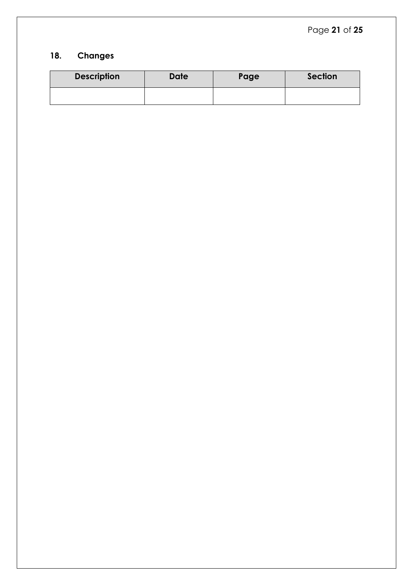#### <span id="page-20-0"></span>**18. Changes**

| <b>Description</b> | <b>Date</b> | Page | <b>Section</b> |
|--------------------|-------------|------|----------------|
|                    |             |      |                |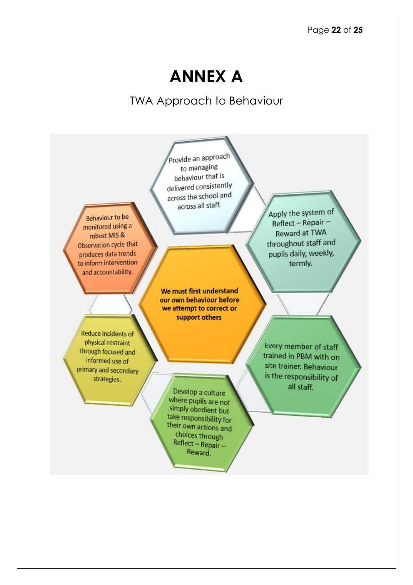### **ANNEX A**

TWA Approach to Behaviour

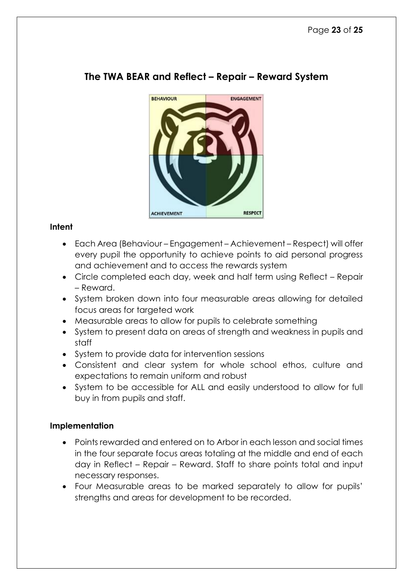

#### **The TWA BEAR and Reflect – Repair – Reward System**

#### **Intent**

- Each Area (Behaviour Engagement Achievement Respect) will offer every pupil the opportunity to achieve points to aid personal progress and achievement and to access the rewards system
- Circle completed each day, week and half term using Reflect Repair – Reward.
- System broken down into four measurable areas allowing for detailed focus areas for targeted work
- Measurable areas to allow for pupils to celebrate something
- System to present data on areas of strength and weakness in pupils and staff
- System to provide data for intervention sessions
- Consistent and clear system for whole school ethos, culture and expectations to remain uniform and robust
- System to be accessible for ALL and easily understood to allow for full buy in from pupils and staff.

#### **Implementation**

- Points rewarded and entered on to Arbor in each lesson and social times in the four separate focus areas totaling at the middle and end of each day in Reflect – Repair – Reward. Staff to share points total and input necessary responses.
- Four Measurable areas to be marked separately to allow for pupils' strengths and areas for development to be recorded.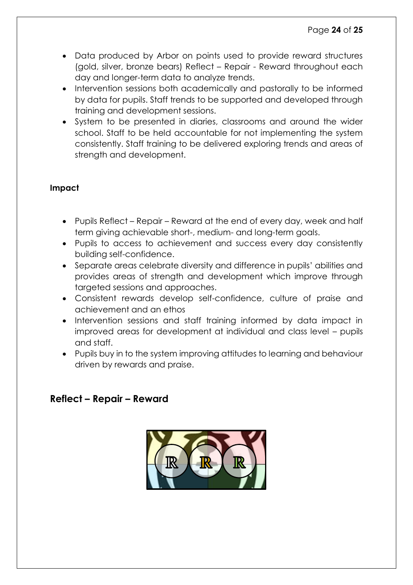- Data produced by Arbor on points used to provide reward structures (gold, silver, bronze bears) Reflect – Repair - Reward throughout each day and longer-term data to analyze trends.
- Intervention sessions both academically and pastorally to be informed by data for pupils. Staff trends to be supported and developed through training and development sessions.
- System to be presented in diaries, classrooms and around the wider school. Staff to be held accountable for not implementing the system consistently. Staff training to be delivered exploring trends and areas of strength and development.

#### **Impact**

- Pupils Reflect Repair Reward at the end of every day, week and half term giving achievable short-, medium- and long-term goals.
- Pupils to access to achievement and success every day consistently building self-confidence.
- Separate areas celebrate diversity and difference in pupils' abilities and provides areas of strength and development which improve through targeted sessions and approaches.
- Consistent rewards develop self-confidence, culture of praise and achievement and an ethos
- Intervention sessions and staff training informed by data impact in improved areas for development at individual and class level – pupils and staff.
- Pupils buy in to the system improving attitudes to learning and behaviour driven by rewards and praise.

#### **Reflect – Repair – Reward**